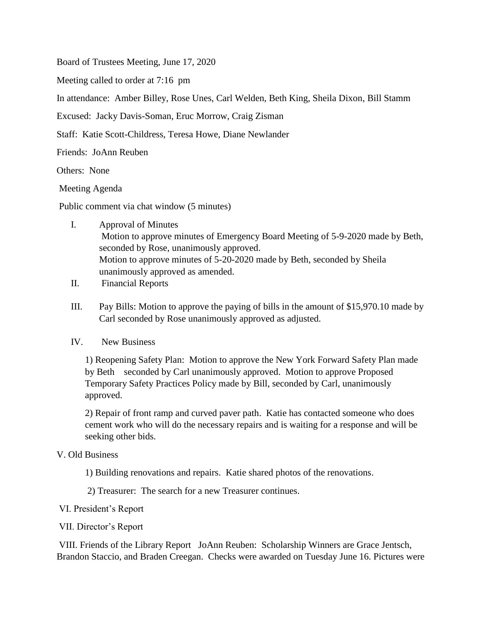Board of Trustees Meeting, June 17, 2020

Meeting called to order at 7:16 pm

In attendance: Amber Billey, Rose Unes, Carl Welden, Beth King, Sheila Dixon, Bill Stamm

Excused: Jacky Davis-Soman, Eruc Morrow, Craig Zisman

Staff: Katie Scott-Childress, Teresa Howe, Diane Newlander

Friends: JoAnn Reuben

Others: None

Meeting Agenda

Public comment via chat window (5 minutes)

- I. Approval of Minutes Motion to approve minutes of Emergency Board Meeting of 5-9-2020 made by Beth, seconded by Rose, unanimously approved. Motion to approve minutes of 5-20-2020 made by Beth, seconded by Sheila unanimously approved as amended.
- II. Financial Reports
- III. Pay Bills: Motion to approve the paying of bills in the amount of \$15,970.10 made by Carl seconded by Rose unanimously approved as adjusted.
- IV. New Business

1) Reopening Safety Plan: Motion to approve the New York Forward Safety Plan made by Beth seconded by Carl unanimously approved. Motion to approve Proposed Temporary Safety Practices Policy made by Bill, seconded by Carl, unanimously approved.

2) Repair of front ramp and curved paver path. Katie has contacted someone who does cement work who will do the necessary repairs and is waiting for a response and will be seeking other bids.

## V. Old Business

1) Building renovations and repairs. Katie shared photos of the renovations.

2) Treasurer: The search for a new Treasurer continues.

VI. President's Report

VII. Director's Report

VIII. Friends of the Library Report JoAnn Reuben: Scholarship Winners are Grace Jentsch, Brandon Staccio, and Braden Creegan. Checks were awarded on Tuesday June 16. Pictures were